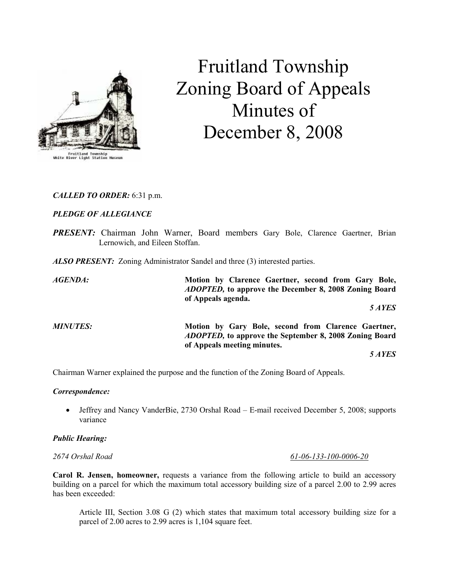

# Fruitland Township Zoning Board of Appeals Minutes of December 8, 2008

# CALLED TO ORDER: 6:31 p.m.

# PLEDGE OF ALLEGIANCE

PRESENT: Chairman John Warner, Board members Gary Bole, Clarence Gaertner, Brian Lernowich, and Eileen Stoffan.

**ALSO PRESENT:** Zoning Administrator Sandel and three (3) interested parties.

AGENDA: Motion by Clarence Gaertner, second from Gary Bole, ADOPTED, to approve the December 8, 2008 Zoning Board of Appeals agenda. 5 AYES MINUTES: Motion by Gary Bole, second from Clarence Gaertner, ADOPTED, to approve the September 8, 2008 Zoning Board of Appeals meeting minutes.

5 AYES

Chairman Warner explained the purpose and the function of the Zoning Board of Appeals.

#### Correspondence:

• Jeffrey and Nancy VanderBie, 2730 Orshal Road – E-mail received December 5, 2008; supports variance

#### Public Hearing:

2674 Orshal Road 61-06-133-100-0006-20

Carol R. Jensen, homeowner, requests a variance from the following article to build an accessory building on a parcel for which the maximum total accessory building size of a parcel 2.00 to 2.99 acres has been exceeded:

Article III, Section 3.08 G (2) which states that maximum total accessory building size for a parcel of 2.00 acres to 2.99 acres is 1,104 square feet.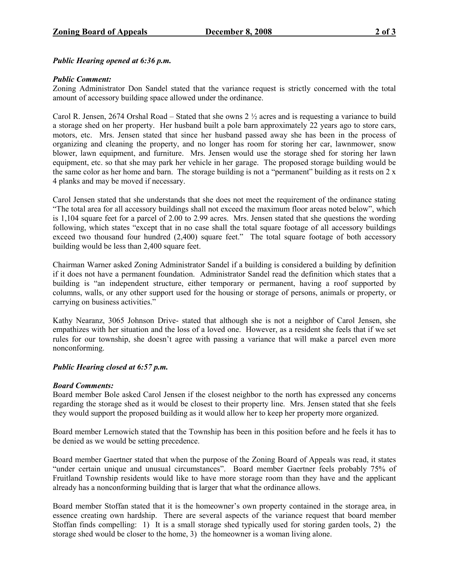Public Hearing opened at 6:36 p.m.

### Public Comment:

Zoning Administrator Don Sandel stated that the variance request is strictly concerned with the total amount of accessory building space allowed under the ordinance.

Carol R. Jensen, 2674 Orshal Road – Stated that she owns 2 ½ acres and is requesting a variance to build a storage shed on her property. Her husband built a pole barn approximately 22 years ago to store cars, motors, etc. Mrs. Jensen stated that since her husband passed away she has been in the process of organizing and cleaning the property, and no longer has room for storing her car, lawnmower, snow blower, lawn equipment, and furniture. Mrs. Jensen would use the storage shed for storing her lawn equipment, etc. so that she may park her vehicle in her garage. The proposed storage building would be the same color as her home and barn. The storage building is not a "permanent" building as it rests on  $2 \times$ 4 planks and may be moved if necessary.

Carol Jensen stated that she understands that she does not meet the requirement of the ordinance stating "The total area for all accessory buildings shall not exceed the maximum floor areas noted below", which is 1,104 square feet for a parcel of 2.00 to 2.99 acres. Mrs. Jensen stated that she questions the wording following, which states "except that in no case shall the total square footage of all accessory buildings exceed two thousand four hundred (2,400) square feet." The total square footage of both accessory building would be less than 2,400 square feet.

Chairman Warner asked Zoning Administrator Sandel if a building is considered a building by definition if it does not have a permanent foundation. Administrator Sandel read the definition which states that a building is "an independent structure, either temporary or permanent, having a roof supported by columns, walls, or any other support used for the housing or storage of persons, animals or property, or carrying on business activities."

Kathy Nearanz, 3065 Johnson Drive- stated that although she is not a neighbor of Carol Jensen, she empathizes with her situation and the loss of a loved one. However, as a resident she feels that if we set rules for our township, she doesn't agree with passing a variance that will make a parcel even more nonconforming.

# Public Hearing closed at 6:57 p.m.

#### Board Comments:

Board member Bole asked Carol Jensen if the closest neighbor to the north has expressed any concerns regarding the storage shed as it would be closest to their property line. Mrs. Jensen stated that she feels they would support the proposed building as it would allow her to keep her property more organized.

Board member Lernowich stated that the Township has been in this position before and he feels it has to be denied as we would be setting precedence.

Board member Gaertner stated that when the purpose of the Zoning Board of Appeals was read, it states "under certain unique and unusual circumstances". Board member Gaertner feels probably 75% of Fruitland Township residents would like to have more storage room than they have and the applicant already has a nonconforming building that is larger that what the ordinance allows.

Board member Stoffan stated that it is the homeowner's own property contained in the storage area, in essence creating own hardship. There are several aspects of the variance request that board member Stoffan finds compelling: 1) It is a small storage shed typically used for storing garden tools, 2) the storage shed would be closer to the home, 3) the homeowner is a woman living alone.